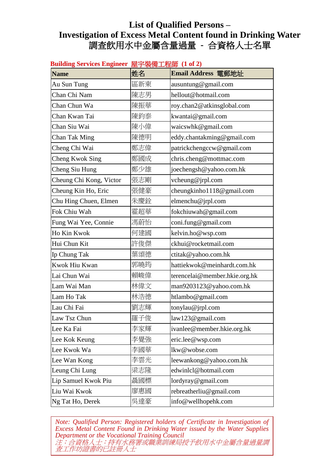.<br>در <del>می</del>ش<del>ده س</del>می

| Building Services Engineer 屋宇裝備工程師(1 of 2) |     |                               |  |
|--------------------------------------------|-----|-------------------------------|--|
| <b>Name</b>                                | 姓名  | Email Address 電郵地址            |  |
| Au Sun Tung                                | 區新東 | ausuntung@gmail.com           |  |
| Chan Chi Nam                               | 陳志男 | hellout@hotmail.com           |  |
| Chan Chun Wa                               | 陳振華 | roy.chan2@atkinsglobal.com    |  |
| Chan Kwan Tai                              | 陳鈞泰 | kwantai@gmail.com             |  |
| Chan Siu Wai                               | 陳小偉 | waicswhk@gmail.com            |  |
| Chan Tak Ming                              | 陳德明 | eddy.chantakming@gmail.com    |  |
| Cheng Chi Wai                              | 鄭志偉 | patrickchengccw@gmail.com     |  |
| <b>Cheng Kwok Sing</b>                     | 鄭國成 | chris.cheng@mottmac.com       |  |
| Cheng Siu Hung                             | 鄭少雄 | joechengsh@yahoo.com.hk       |  |
| Cheung Chi Kong, Victor                    | 張志剛 | vcheung@jrpl.com              |  |
| Cheung Kin Ho, Eric                        | 張健豪 | cheungkinho1118@gmail.com     |  |
| Chu Hing Chuen, Elmen                      | 朱慶銓 | elmenchu@jrpl.com             |  |
| Fok Chiu Wah                               | 霍超華 | fokchiuwah@gmail.com          |  |
| Fung Wai Yee, Connie                       | 馮蔚怡 | coni.fung@gmail.com           |  |
| Ho Kin Kwok                                | 何建國 | kelvin.ho@wsp.com             |  |
| Hui Chun Kit                               | 許俊傑 | ckhui@rocketmail.com          |  |
| Ip Chung Tak                               | 葉頌德 | ctitak@yahoo.com.hk           |  |
| Kwok Hiu Kwan                              | 郭曉筠 | hattiekwok@meinhardt.com.hk   |  |
| Lai Chun Wai                               | 賴峻偉 | terencelai@member.hkie.org.hk |  |
| Lam Wai Man                                | 林偉文 | man9203123@yahoo.com.hk       |  |
| Lam Ho Tak                                 | 林浩德 | htlambo@gmail.com             |  |
| Lau Chi Fai                                | 劉志輝 | tonylau@jrpl.com              |  |
| Law Tsz Chun                               | 羅子俊 | law123@gmail.com              |  |
| Lee Ka Fai                                 | 李家輝 | ivanlee@member.hkie.org.hk    |  |
| Lee Kok Keung                              | 李覺強 | eric.lee@wsp.com              |  |
| Lee Kwok Wa                                | 李國華 | lkw@wobse.com                 |  |
| Lee Wan Kong                               | 李雲光 | leewankong@yahoo.com.hk       |  |
| Leung Chi Lung                             | 梁志隆 | edwinlcl@hotmail.com          |  |
| Lip Samuel Kwok Piu                        | 聶國標 | lordyray@gmail.com            |  |
| Liu Wai Kwok                               | 廖惠國 | rebreatherliu@gmail.com       |  |
| Ng Tat Ho, Derek                           | 吳達豪 | info@wellhopehk.com           |  |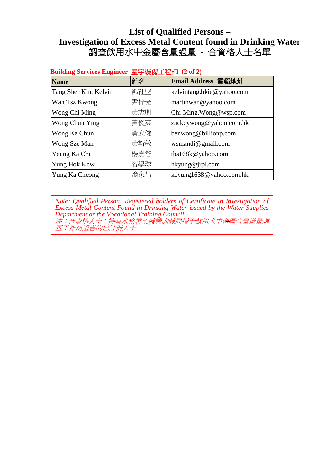| 全寸  农  用工  任  i  (4 UL 4) |                           |
|---------------------------|---------------------------|
| 姓名                        | Email Address 電郵地址        |
| 鄧社堅                       | kelvintang.hkie@yahoo.com |
| 尹梓光                       | martinwan@yahoo.com       |
| 黃志明                       | Chi-Ming. Wong@wsp.com    |
| 黃俊英                       | zackcywong@yahoo.com.hk   |
| 黃家俊                       | benwong@billionp.com      |
| 黃斯敏                       | wsmandi@gmail.com         |
| 楊嘉智                       | tbs168k@yahoo.com         |
| 容學球                       | hkyung@jrpl.com           |
| 翁家昌                       | kcyung1638@yahoo.com.hk   |
|                           |                           |

#### **Building Services Engineer** 屋宇裝備工程師 **(2 of 2)**

**List of Qualified Persons**  注:合資格人士:持有水務署或職業訓練局授予飲用水中金屬含量過量調 查工作坊證書的已註冊人士 **–***Note: Qualified Person: Registered holders of Certificate in Investigation of Excess Metal Content Found in Drinking Water issued by the Water Supplies Department or the Vocational Training Council*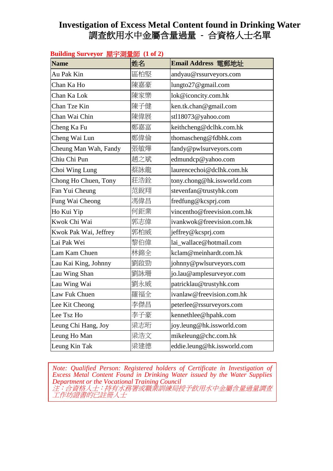# **Investigation of Excess Metal Content found in Drinking Water**  調查飲用水中金屬含量過量 **-** 合資格人士名單

|  | Building Surveyor 屋宇測量師(1 of 2) |  |
|--|---------------------------------|--|
|--|---------------------------------|--|

| $\sim$                |     |                             |
|-----------------------|-----|-----------------------------|
| <b>Name</b>           | 姓名  | Email Address 電郵地址          |
| Au Pak Kin            | 區柏堅 | andyau@rssurveyors.com      |
| Chan Ka Ho            | 陳嘉豪 | lungto27@gmail.com          |
| Chan Ka Lok           | 陳家樂 | lok@iconcity.com.hk         |
| Chan Tze Kin          | 陳子健 | ken.tk.chan@gmail.com       |
| Chan Wai Chin         | 陳偉展 | stl18073@yahoo.com          |
| Cheng Ka Fu           | 鄭嘉富 | keithcheng@dclhk.com.hk     |
| Cheng Wai Lun         | 鄭偉倫 | thomascheng@fdbhk.com       |
| Cheung Man Wah, Fandy | 張敏燁 | fandy@pwlsurveyors.com      |
| Chiu Chi Pun          | 趙之斌 | edmundcp@yahoo.com          |
| Choi Wing Lung        | 蔡詠龍 | laurencechoi@dclhk.com.hk   |
| Chong Ho Chuen, Tony  | 莊浩銓 | tony.chong@hk.issworld.com  |
| Fan Yui Cheung        | 范銳翔 | stevenfan@trustyhk.com      |
| Fung Wai Cheong       | 馮偉昌 | fredfung@kcsprj.com         |
| Ho Kui Yip            | 何鉅業 | vincentho@freevision.com.hk |
| Kwok Chi Wai          | 郭志偉 | ivankwok@freevision.com.hk  |
| Kwok Pak Wai, Jeffrey | 郭柏威 | jeffrey@kcsprj.com          |
| Lai Pak Wei           | 黎伯偉 | lai_wallace@hotmail.com     |
| Lam Kam Chuen         | 林錦全 | kclam@meinhardt.com.hk      |
| Lau Kai King, Johnny  | 劉啟勁 | johnny@pwlsurveyors.com     |
| Lau Wing Shan         | 劉詠珊 | jo.lau@amplesurveyor.com    |
| Lau Wing Wai          | 劉永威 | patricklau@trustyhk.com     |
| Law Fuk Chuen         | 羅福全 | ivanlaw@freevision.com.hk   |
| Lee Kit Cheong        | 李傑昌 | peterlee@rssurveyors.com    |
| Lee Tsz Ho            | 李子豪 | kennethlee@hpahk.com        |
| Leung Chi Hang, Joy   | 梁志珩 | joy.leung@hk.issworld.com   |
| Leung Ho Man          | 梁浩文 | mikeleung@chc.com.hk        |
| Leung Kin Tak         | 梁建德 | eddie.leung@hk.issworld.com |

 *Excess Metal Content Found in Drinking Water issued by the Water Supplies Note: Qualified Person: Registered holders of Certificate in Investigation of Department or the Vocational Training Council* 注:合資格人士:持有水務署或職業訓練局授予飲用水中金屬含量過量調查 工作坊證書的已註冊人士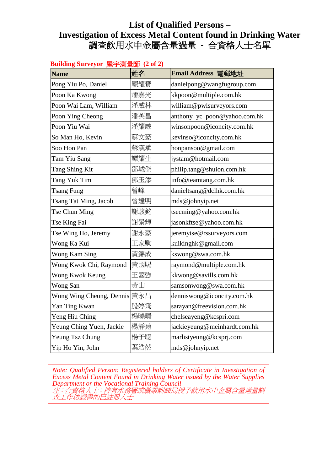| Building Surveyor 至于冽重即(2 of 2)<br><b>Name</b> | 姓名  | Email Address 電郵地址           |
|------------------------------------------------|-----|------------------------------|
|                                                | 龐耀寶 |                              |
| Pong Yiu Po, Daniel                            |     | danielpong@wangfugroup.com   |
| Poon Ka Kwong                                  | 潘嘉光 | kkpoon@multiple.com.hk       |
| Poon Wai Lam, William                          | 潘威林 | william@pwlsurveyors.com     |
| Poon Ying Cheong                               | 潘英昌 | anthony_yc_poon@yahoo.com.hk |
| Poon Yiu Wai                                   | 潘耀威 | winsonpoon@iconcity.com.hk   |
| So Man Ho, Kevin                               | 蘇文豪 | kevinso@iconcity.com.hk      |
| Soo Hon Pan                                    | 蘇漢斌 | honpansoo@gmail.com          |
| Tam Yiu Sang                                   | 譚耀生 | jystam@hotmail.com           |
| Tang Shing Kit                                 | 鄧城傑 | philip.tang@shuion.com.hk    |
| Tang Yuk Tim                                   | 鄧玉添 | info@teamtang.com.hk         |
| <b>Tsang Fung</b>                              | 曾峰  | danieltsang@dclhk.com.hk     |
| Tsang Tat Ming, Jacob                          | 曾達明 | mds@johnyip.net              |
| Tse Chun Ming                                  | 謝駿銘 | tsecming@yahoo.com.hk        |
| Tse King Fai                                   | 謝景輝 | jasonkftse@yahoo.com.hk      |
| Tse Wing Ho, Jeremy                            | 謝永豪 | jeremytse@rssurveyors.com    |
| Wong Ka Kui                                    | 王家駒 | kuikinghk@gmail.com          |
| Wong Kam Sing                                  | 黃錦成 | kswong@swa.com.hk            |
| Wong Kwok Chi, Raymond                         | 黃國賜 | raymond@multiple.com.hk      |
| Wong Kwok Keung                                | 王國強 | kkwong@savills.com.hk        |
| Wong San                                       | 黄山  | samsonwong@swa.com.hk        |
| Wong Wing Cheung, Dennis                       | 黃永昌 | denniswong@iconcity.com.hk   |
| Yan Ting Kwan                                  | 殷婷筠 | sarayan@freevision.com.hk    |
| Yeng Hiu Ching                                 | 楊曉晴 | chelseayeng@kcspri.com       |
| Yeung Ching Yuen, Jackie                       | 楊靜遠 | jackieyeung@meinhardt.com.hk |
| Yeung Tsz Chung                                | 楊子聰 | marlistyeung@kcsprj.com      |
| Yip Ho Yin, John                               | 葉浩然 | mds@johnyip.net              |

### **Building Surveyor** 屋宇測量師 **(2 of 2)**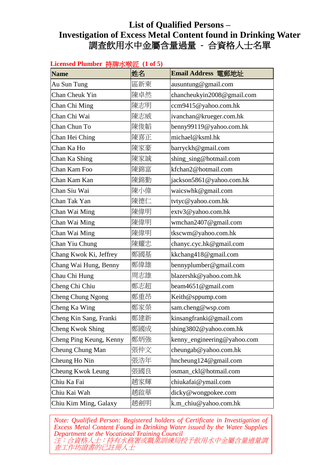#### **Licensed Plumber** 持牌水喉匠 **(1 of 5)**

| <b>Name</b>             | 姓名  | Email Address 電郵地址          |
|-------------------------|-----|-----------------------------|
| Au Sun Tung             | 區新東 | ausuntung@gmail.com         |
| Chan Cheuk Yin          | 陳卓然 | chancheukyin2008@gmail.com  |
| Chan Chi Ming           | 陳志明 | ccm9415@yahoo.com.hk        |
| Chan Chi Wai            | 陳志威 | ivanchan@krueger.com.hk     |
| Chan Chun To            | 陳俊韜 | benny99119@yahoo.com.hk     |
| Chan Hei Ching          | 陳喜正 | michael@ksml.hk             |
| Chan Ka Ho              | 陳家豪 | barryckh@gmail.com          |
| Chan Ka Shing           | 陳家誠 | shing_sing@hotmail.com      |
| Chan Kam Foo            | 陳錦富 | kfchan2@hotmail.com         |
| Chan Kam Kan            | 陳錦勤 | jackson5861@yahoo.com.hk    |
| Chan Siu Wai            | 陳小偉 | waicswhk@gmail.com          |
| Chan Tak Yan            | 陳德仁 | tvtyc@yahoo.com.hk          |
| Chan Wai Ming           | 陳偉明 | extv3@yahoo.com.hk          |
| Chan Wai Ming           | 陳偉明 | wmchan2407@gmail.com        |
| Chan Wai Ming           | 陳偉明 | tkscwm@yahoo.com.hk         |
| Chan Yiu Chung          | 陳耀忠 | chanyc.cyc.hk@gmail.com     |
| Chang Kwok Ki, Jeffrey  | 鄭國基 | kkchang418@gmail.com        |
| Chang Wai Hung, Benny   | 鄭偉雄 | bennyplumber@gmail.com      |
| Chau Chi Hung           | 周志雄 | blazershk@yahoo.com.hk      |
| Cheng Chi Chiu          | 鄭志超 | beam4651@gmail.com          |
| Cheng Chung Ngong       | 鄭重昂 | Keith@sppump.com            |
| Cheng Ka Wing           | 鄭家榮 | sam.cheng@wsp.com           |
| Cheng Kin Sang, Franki  | 鄭建新 | kinsangfranki@gmail.com     |
| Cheng Kwok Shing        | 鄭國成 | shing3802@yahoo.com.hk      |
| Cheng Ping Keung, Kenny | 鄭炳強 | kenny_engineering@yahoo.com |
| Cheung Chung Man        | 張仲文 | cheungab@yahoo.com.hk       |
| Cheung Ho Nin           | 張浩年 | hncheung124@gmail.com       |
| Cheung Kwok Leung       | 張國良 | osman ckl@hotmail.com       |
| Chiu Ka Fai             | 趙家輝 | chiukafai@ymail.com         |
| Chiu Kai Wah            | 趙啟華 | dicky@wongpokee.com         |
| Chiu Kim Ming, Galaxy   | 趙劍明 | k.m_chiu@yahoo.com.hk       |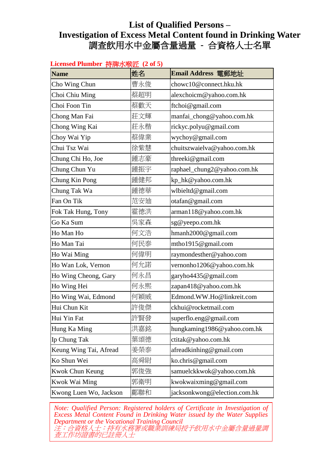| Licensed Plumber 持牌水喉匠 (2 of 5) |     |                              |  |
|---------------------------------|-----|------------------------------|--|
| <b>Name</b>                     | 姓名  | Email Address 電郵地址           |  |
| Cho Wing Chun                   | 曹永俊 | chowc10@connect.hku.hk       |  |
| Choi Chiu Ming                  | 蔡超明 | alexchoicm@yahoo.com.hk      |  |
| Choi Foon Tin                   | 蔡歡天 | ftchoi@gmail.com             |  |
| Chong Man Fai                   | 莊文輝 | manfai_chong@yahoo.com.hk    |  |
| Chong Wing Kai                  | 莊永楷 | rickyc.polyu@gmail.com       |  |
| Choy Wai Yip                    | 蔡偉業 | wychoy@gmail.com             |  |
| Chui Tsz Wai                    | 徐紫慧 | chuitszwaielva@yahoo.com.hk  |  |
| Chung Chi Ho, Joe               | 鍾志豪 | threeki@gmail.com            |  |
| Chung Chun Yu                   | 鍾振宇 | raphael_chung2@yahoo.com.hk  |  |
| Chung Kin Pong                  | 鍾健邦 | kp_hk@yahoo.com.hk           |  |
| Chung Tak Wa                    | 鍾德華 | wlbieltd@gmail.com           |  |
| Fan On Tik                      | 范安廸 | otafan@gmail.com             |  |
| Fok Tak Hung, Tony              | 霍德洪 | arman118@yahoo.com.hk        |  |
| Go Ka Sum                       | 吳家森 | sg@yeepo.com.hk              |  |
| Ho Man Ho                       | 何文浩 | hmanh2000@gmail.com          |  |
| Ho Man Tai                      | 何民泰 | mtho1915@gmail.com           |  |
| Ho Wai Ming                     | 何偉明 | raymondesther@yahoo.com      |  |
| Ho Wan Lok, Vernon              | 何允諾 | vernonho1206@yahoo.com.hk    |  |
| Ho Wing Cheong, Gary            | 何永昌 | garyho4435@gmail.com         |  |
| Ho Wing Hei                     | 何永熙 | zapan418@yahoo.com.hk        |  |
| Ho Wing Wai, Edmond             | 何穎威 | Edmond.WW.Ho@linkreit.com    |  |
| Hui Chun Kit                    | 許俊傑 | ckhui@rocketmail.com         |  |
| Hui Yin Fat                     | 許賢發 | superflo.eng@gmail.com       |  |
| Hung Ka Ming                    | 洪嘉銘 | hungkaming1986@yahoo.com.hk  |  |
| Ip Chung Tak                    | 葉頌德 | ctitak@yahoo.com.hk          |  |
| Keung Wing Tai, Afread          | 姜榮泰 | afreadkinhing@gmail.com      |  |
| Ko Shun Wei                     | 高舜尉 | ko.chris@gmail.com           |  |
| Kwok Chun Keung                 | 郭俊強 | samuelckkwok@yahoo.com.hk    |  |
| Kwok Wai Ming                   | 郭衛明 | kwokwaixming@gmail.com       |  |
| Kwong Luen Wo, Jackson          | 鄺聯和 | jacksonkwong@election.com.hk |  |

**Licensed Plumber** 持牌水喉匠 **(2 of 5)**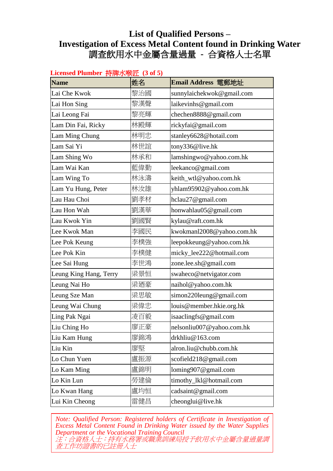| Licensed Plumber 持牌水喉匠(3 of 5) |     |                           |  |
|--------------------------------|-----|---------------------------|--|
| <b>Name</b>                    | 姓名  | Email Address 電郵地址        |  |
| Lai Che Kwok                   | 黎治國 | sunnylaichekwok@gmail.com |  |
| Lai Hon Sing                   | 黎漢聲 | laikevinhs@gmail.com      |  |
| Lai Leong Fai                  | 黎亮輝 | chechen8888@gmail.com     |  |
| Lam Din Fai, Ricky             | 林殿輝 | rickyfai@gmail.com        |  |
| Lam Ming Chung                 | 林明忠 | stanley6628@hotail.com    |  |
| Lam Sai Yi                     | 林世誼 | tony336@live.hk           |  |
| Lam Shing Wo                   | 林承和 | lamshingwo@yahoo.com.hk   |  |
| Lam Wai Kan                    | 藍偉勤 | leekanco@gmail.com        |  |
| Lam Wing To                    | 林泳濤 | keith_wtl@yahoo.com.hk    |  |
| Lam Yu Hung, Peter             | 林汝雄 | yhlam95902@yahoo.com.hk   |  |
| Lau Hau Choi                   | 劉孝材 | hclau27@gmail.com         |  |
| Lau Hon Wah                    | 劉漢華 | honwahlau05@gmail.com     |  |
| Lau Kwok Yin                   | 劉國賢 | kylau@raft.com.hk         |  |
| Lee Kwok Man                   | 李國民 | kwokmanl2008@yahoo.com.hk |  |
| Lee Pok Keung                  | 李樸強 | leepokkeung@yahoo.com.hk  |  |
| Lee Pok Kin                    | 李樸健 | micky_lee222@hotmail.com  |  |
| Lee Sai Hung                   | 李世鴻 | zone.lee.sh@gmail.com     |  |
| Leung King Hang, Terry         | 梁景恒 | swaheco@netvigator.com    |  |
| Leung Nai Ho                   | 梁廼豪 | naihol@yahoo.com.hk       |  |
| Leung Sze Man                  | 梁思敏 | simon220leung@gmail.com   |  |
| Leung Wai Chung                | 梁偉忠 | louis@member.hkie.org.hk  |  |
| Ling Pak Ngai                  | 凌百毅 | isaaclingfs@gmail.com     |  |
| Liu Ching Ho                   | 廖正豪 | nelsonliu007@yahoo.com.hk |  |
| Liu Kam Hung                   | 廖錦鴻 | drkhliu@163.com           |  |
| Liu Kin                        | 廖堅  | alron.liu@chubb.com.hk    |  |
| Lo Chun Yuen                   | 盧振源 | scofield218@gmail.com     |  |
| Lo Kam Ming                    | 盧錦明 | loming $907$ @gmail.com   |  |
| Lo Kin Lun                     | 勞建倫 | timothy_lkl@hotmail.com   |  |
| Lo Kwan Hang                   | 盧均恒 | cadsaint@gmail.com        |  |
| Lui Kin Cheong                 | 雷健昌 | cheonglui@live.hk         |  |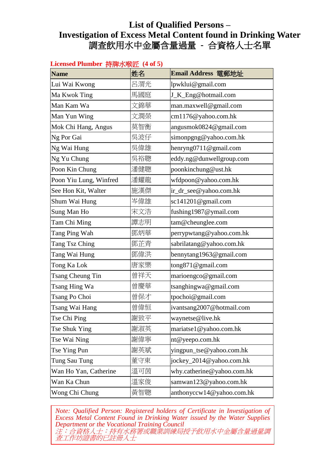| Licensed Plumber 持牌水喉匠 (4 of 5) |     |                            |  |
|---------------------------------|-----|----------------------------|--|
| <b>Name</b>                     | 姓名  | Email Address 電郵地址         |  |
| Lui Wai Kwong                   | 呂渭光 | lpwklui@gmail.com          |  |
| Ma Kwok Ting                    | 馬國庭 | J_K_Eng@hotmail.com        |  |
| Man Kam Wa                      | 文錦華 | man.maxwell@gmail.com      |  |
| Man Yun Wing                    | 文潤榮 | cm1176@yahoo.com.hk        |  |
| Mok Chi Hang, Angus             | 莫智衡 | angusmok0824@gmail.com     |  |
| Ng Por Gai                      | 吳波仔 | simonpgng@yahoo.com.hk     |  |
| Ng Wai Hung                     | 吳偉雄 | henryng0711@gmail.com      |  |
| Ng Yu Chung                     | 吳裕聰 | eddy.ng@dunwellgroup.com   |  |
| Poon Kin Chung                  | 潘健聰 | poonkinchung@ust.hk        |  |
| Poon Yiu Lung, Winfred          | 潘耀龍 | wfdpoon@yahoo.com.hk       |  |
| See Hon Kit, Walter             | 施漢傑 | ir_dr_see@yahoo.com.hk     |  |
| Shum Wai Hung                   | 岑偉雄 | sc141201@gmail.com         |  |
| Sung Man Ho                     | 宋文浩 | fushing1987@ymail.com      |  |
| Tam Chi Ming                    | 譚志明 | tam@cheunglee.com          |  |
| Tang Ping Wah                   | 鄧炳華 | perrypwtang@yahoo.com.hk   |  |
| Tang Tsz Ching                  | 鄧芷青 | sabrilatang@yahoo.com.hk   |  |
| Tang Wai Hung                   | 鄧偉洪 | bennytang1963@gmail.com    |  |
| Tong Ka Lok                     | 唐家樂 | tong871@gmail.com          |  |
| Tsang Cheung Tin                | 曾祥天 | marioengco@gmail.com       |  |
| Tsang Hing Wa                   | 曾慶華 | tsanghingwa@gmail.com      |  |
| Tsang Po Choi                   | 曾保才 | tpochoi@gmail.com          |  |
| Tsang Wai Hang                  | 曾偉恒 | ivantsang2007@hotmail.com  |  |
| Tse Chi Ping                    | 謝致平 | waynetse@live.hk           |  |
| Tse Shuk Ying                   | 謝淑英 | mariatse1@yahoo.com.hk     |  |
| Tse Wai Ning                    | 謝偉寧 | nt@yeepo.com.hk            |  |
| Tse Ying Pun                    | 謝英斌 | yingpun_tse@yahoo.com.hk   |  |
| Tung Sau Tung                   | 董守東 | jockey_2014@yahoo.com.hk   |  |
| Wan Ho Yan, Catherine           | 溫可茵 | why.catherine@yahoo.com.hk |  |
| Wan Ka Chun                     | 溫家俊 | samwan123@yahoo.com.hk     |  |
| Wong Chi Chung                  | 黃智聰 | anthonyccw14@yahoo.com.hk  |  |